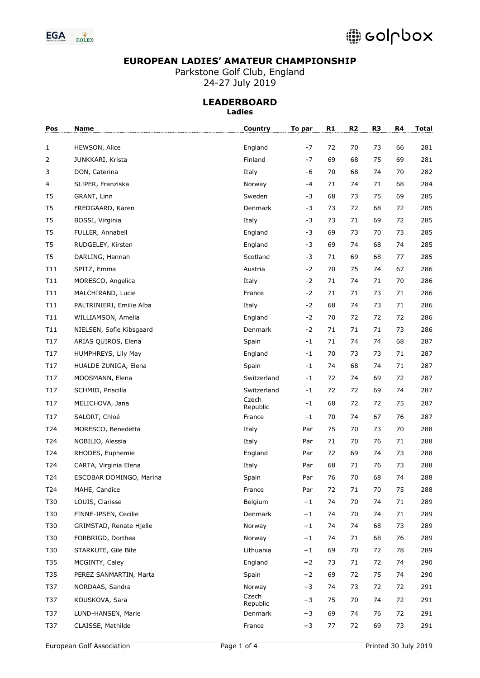

Parkstone Golf Club, England 24-27 July 2019

| Pos            | Name                     | <b>Country</b>    | To par | R1 | R <sub>2</sub> | R <sub>3</sub> | R4 | <b>Total</b> |
|----------------|--------------------------|-------------------|--------|----|----------------|----------------|----|--------------|
| $\mathbf{1}$   | HEWSON, Alice            | England           | -7     | 72 | 70             | 73             | 66 | 281          |
| 2              | JUNKKARI, Krista         | Finland           | -7     | 69 | 68             | 75             | 69 | 281          |
| 3              | DON, Caterina            | Italy             | -6     | 70 | 68             | 74             | 70 | 282          |
| 4              | SLIPER, Franziska        | Norway            | -4     | 71 | 74             | 71             | 68 | 284          |
| T5             | GRANT, Linn              | Sweden            | -3     | 68 | 73             | 75             | 69 | 285          |
| T <sub>5</sub> | FREDGAARD, Karen         | Denmark           | -3     | 73 | 72             | 68             | 72 | 285          |
| T <sub>5</sub> | BOSSI, Virginia          | Italy             | -3     | 73 | 71             | 69             | 72 | 285          |
| T <sub>5</sub> | FULLER, Annabell         | England           | -3     | 69 | 73             | 70             | 73 | 285          |
| T <sub>5</sub> | RUDGELEY, Kirsten        | England           | -3     | 69 | 74             | 68             | 74 | 285          |
| T <sub>5</sub> | DARLING, Hannah          | Scotland          | -3     | 71 | 69             | 68             | 77 | 285          |
| T11            | SPITZ, Emma              | Austria           | $-2$   | 70 | 75             | 74             | 67 | 286          |
| T11            | MORESCO, Angelica        | Italy             | $-2$   | 71 | 74             | 71             | 70 | 286          |
| T11            | MALCHIRAND, Lucie        | France            | $-2$   | 71 | 71             | 73             | 71 | 286          |
| T11            | PALTRINIERI, Emilie Alba | Italy             | $-2$   | 68 | 74             | 73             | 71 | 286          |
| T11            | WILLIAMSON, Amelia       | England           | $-2$   | 70 | 72             | 72             | 72 | 286          |
| T11            | NIELSEN, Sofie Kibsgaard | Denmark           | $-2$   | 71 | 71             | 71             | 73 | 286          |
| T17            | ARIAS QUIROS, Elena      | Spain             | $-1$   | 71 | 74             | 74             | 68 | 287          |
| T17            | HUMPHREYS, Lily May      | England           | -1     | 70 | 73             | 73             | 71 | 287          |
| T17            | HUALDE ZUNIGA, Elena     | Spain             | $-1$   | 74 | 68             | 74             | 71 | 287          |
| T17            | MOOSMANN, Elena          | Switzerland       | $-1$   | 72 | 74             | 69             | 72 | 287          |
| T17            | SCHMID, Priscilla        | Switzerland       | -1     | 72 | 72             | 69             | 74 | 287          |
| T17            | MELICHOVA, Jana          | Czech<br>Republic | $-1$   | 68 | 72             | 72             | 75 | 287          |
| T17            | SALORT, Chloé            | France            | -1     | 70 | 74             | 67             | 76 | 287          |
| T24            | MORESCO, Benedetta       | Italy             | Par    | 75 | 70             | 73             | 70 | 288          |
| T24            | NOBILIO, Alessia         | Italy             | Par    | 71 | 70             | 76             | 71 | 288          |
| T24            | RHODES, Euphemie         | England           | Par    | 72 | 69             | 74             | 73 | 288          |
| T24            | CARTA, Virginia Elena    | Italy             | Par    | 68 | 71             | 76             | 73 | 288          |
| T24            | ESCOBAR DOMINGO, Marina  | Spain             | Par    | 76 | 70             | 68             | 74 | 288          |
| T24            | MAHE, Candice            | France            | Par    | 72 | 71             | $70\,$         | 75 | 288          |
| T30            | LOUIS, Clarisse          | Belgium           | $+1$   | 74 | 70             | 74             | 71 | 289          |
| T30            | FINNE-IPSEN, Cecilie     | Denmark           | $+1$   | 74 | 70             | 74             | 71 | 289          |
| T30            | GRIMSTAD, Renate Hjelle  | Norway            | $+1$   | 74 | 74             | 68             | 73 | 289          |
| T30            | FORBRIGD, Dorthea        | Norway            | $+1$   | 74 | 71             | 68             | 76 | 289          |
| T30            | STARKUTĖ, Gilė Bitė      | Lithuania         | $+1$   | 69 | 70             | 72             | 78 | 289          |
| T35            | MCGINTY, Caley           | England           | $+2$   | 73 | 71             | 72             | 74 | 290          |
| T35            | PEREZ SANMARTIN, Marta   | Spain             | $+2$   | 69 | 72             | 75             | 74 | 290          |
| T37            | NORDAAS, Sandra          | Norway            | $+3$   | 74 | 73             | 72             | 72 | 291          |
| T37            | KOUSKOVA, Sara           | Czech<br>Republic | $+3$   | 75 | 70             | 74             | 72 | 291          |
| T37            | LUND-HANSEN, Marie       | Denmark           | $+3$   | 69 | 74             | 76             | 72 | 291          |
| T37            | CLAISSE, Mathilde        | France            | $+3$   | 77 | 72             | 69             | 73 | 291          |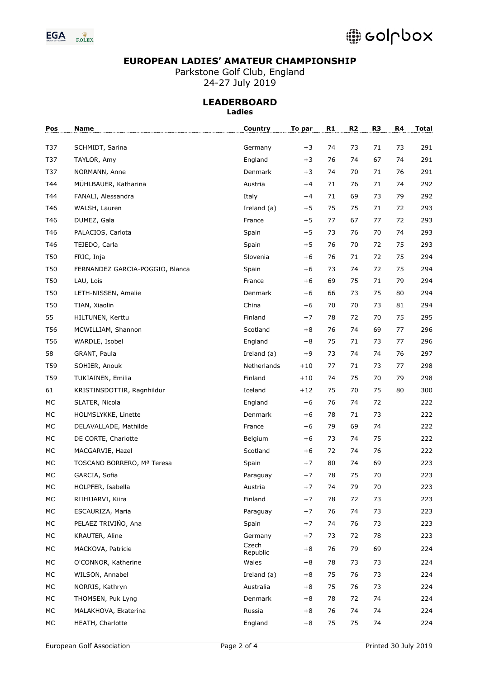

Parkstone Golf Club, England 24-27 July 2019

| Pos        | <b>Name</b>                     | Country           | To par | R <sub>1</sub> | R <sub>2</sub> | R3 | R4 | <b>Total</b> |
|------------|---------------------------------|-------------------|--------|----------------|----------------|----|----|--------------|
| T37        | SCHMIDT, Sarina                 | Germany           | $+3$   | 74             | 73             | 71 | 73 | 291          |
| T37        | TAYLOR, Amy                     | England           | $+3$   | 76             | 74             | 67 | 74 | 291          |
| T37        | NORMANN, Anne                   | Denmark           | $+3$   | 74             | 70             | 71 | 76 | 291          |
| T44        | MÜHLBAUER, Katharina            | Austria           | $+4$   | 71             | 76             | 71 | 74 | 292          |
| T44        | FANALI, Alessandra              | Italy             | $+4$   | 71             | 69             | 73 | 79 | 292          |
| T46        | WALSH, Lauren                   | Ireland (a)       | $+5$   | 75             | 75             | 71 | 72 | 293          |
| T46        | DUMEZ, Gala                     | France            | $+5$   | 77             | 67             | 77 | 72 | 293          |
| T46        | PALACIOS, Carlota               | Spain             | $+5$   | 73             | 76             | 70 | 74 | 293          |
| T46        | TEJEDO, Carla                   | Spain             | $+5$   | 76             | 70             | 72 | 75 | 293          |
| <b>T50</b> | FRIC, Inja                      | Slovenia          | $+6$   | 76             | 71             | 72 | 75 | 294          |
| T50        | FERNANDEZ GARCIA-POGGIO, Blanca | Spain             | $+6$   | 73             | 74             | 72 | 75 | 294          |
| T50        | LAU, Lois                       | France            | $+6$   | 69             | 75             | 71 | 79 | 294          |
| T50        | LETH-NISSEN, Amalie             | Denmark           | $+6$   | 66             | 73             | 75 | 80 | 294          |
| T50        | TIAN, Xiaolin                   | China             | $+6$   | 70             | 70             | 73 | 81 | 294          |
| 55         | HILTUNEN, Kerttu                | Finland           | $+7$   | 78             | 72             | 70 | 75 | 295          |
| T56        | MCWILLIAM, Shannon              | Scotland          | $+8$   | 76             | 74             | 69 | 77 | 296          |
| T56        | WARDLE, Isobel                  | England           | $+8$   | 75             | 71             | 73 | 77 | 296          |
| 58         | GRANT, Paula                    | Ireland (a)       | $+9$   | 73             | 74             | 74 | 76 | 297          |
| T59        | SOHIER, Anouk                   | Netherlands       | $+10$  | 77             | 71             | 73 | 77 | 298          |
| T59        | TUKIAINEN, Emilia               | Finland           | $+10$  | 74             | 75             | 70 | 79 | 298          |
| 61         | KRISTINSDOTTIR, Ragnhildur      | Iceland           | $+12$  | 75             | 70             | 75 | 80 | 300          |
| MC         | SLATER, Nicola                  | England           | $+6$   | 76             | 74             | 72 |    | 222          |
| MC         | HOLMSLYKKE, Linette             | Denmark           | $+6$   | 78             | 71             | 73 |    | 222          |
| MC         | DELAVALLADE, Mathilde           | France            | $+6$   | 79             | 69             | 74 |    | 222          |
| MC         | DE CORTE, Charlotte             | Belgium           | $+6$   | 73             | 74             | 75 |    | 222          |
| MC         | MACGARVIE, Hazel                | Scotland          | $+6$   | 72             | 74             | 76 |    | 222          |
| MC         | TOSCANO BORRERO, Mª Teresa      | Spain             | $+7$   | 80             | 74             | 69 |    | 223          |
| MC         | GARCIA, Sofia                   | Paraguay          | $+7$   | 78             | 75             | 70 |    | 223          |
| MC         | HOLPFER, Isabella               | Austria           | $+7$   | 74             | 79             | 70 |    | 223          |
| МC         | RIIHIJARVI, Kiira               | Finland           | $+7$   | 78             | 72             | 73 |    | 223          |
| МC         | ESCAURIZA, Maria                | Paraguay          | $+7$   | 76             | 74             | 73 |    | 223          |
| МC         | PELAEZ TRIVIÑO, Ana             | Spain             | $+7$   | 74             | 76             | 73 |    | 223          |
| МC         | KRAUTER, Aline                  | Germany           | $+7$   | 73             | 72             | 78 |    | 223          |
| МC         | MACKOVA, Patricie               | Czech<br>Republic | $+8$   | 76             | 79             | 69 |    | 224          |
| МC         | O'CONNOR, Katherine             | Wales             | $+8$   | 78             | 73             | 73 |    | 224          |
| МC         | WILSON, Annabel                 | Ireland (a)       | $+8$   | 75             | 76             | 73 |    | 224          |
| МC         | NORRIS, Kathryn                 | Australia         | $+8$   | 75             | 76             | 73 |    | 224          |
| МC         | THOMSEN, Puk Lyng               | Denmark           | $+8$   | 78             | 72             | 74 |    | 224          |
| МC         | MALAKHOVA, Ekaterina            | Russia            | $+8$   | 76             | 74             | 74 |    | 224          |
| МC         | HEATH, Charlotte                | England           | $+8$   | 75             | 75             | 74 |    | 224          |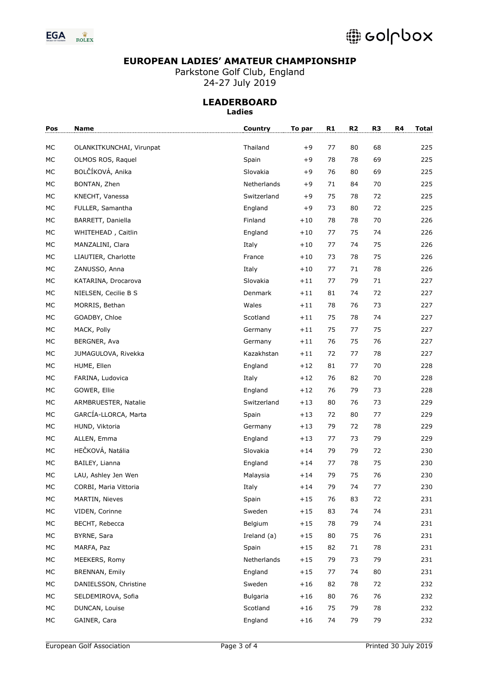

Parkstone Golf Club, England 24-27 July 2019

| Pos  | Name                     | Country     | To par | R1 | R <sub>2</sub> | R <sub>3</sub> | R4 | <b>Total</b> |
|------|--------------------------|-------------|--------|----|----------------|----------------|----|--------------|
| МC   | OLANKITKUNCHAI, Virunpat | Thailand    | +9     | 77 | 80             | 68             |    | 225          |
| MC   | OLMOS ROS, Raquel        | Spain       | +9     | 78 | 78             | 69             |    | 225          |
| MC   | BOLČÍKOVÁ, Anika         | Slovakia    | $+9$   | 76 | 80             | 69             |    | 225          |
| MC   | BONTAN, Zhen             | Netherlands | +9     | 71 | 84             | 70             |    | 225          |
| MC   | KNECHT, Vanessa          | Switzerland | $+9$   | 75 | 78             | 72             |    | 225          |
| MC   | FULLER, Samantha         | England     | $+9$   | 73 | 80             | 72             |    | 225          |
| MC   | BARRETT, Daniella        | Finland     | $+10$  | 78 | 78             | 70             |    | 226          |
| MC   | WHITEHEAD, Caitlin       | England     | $+10$  | 77 | 75             | 74             |    | 226          |
| MC   | MANZALINI, Clara         | Italy       | $+10$  | 77 | 74             | 75             |    | 226          |
| MC   | LIAUTIER, Charlotte      | France      | $+10$  | 73 | 78             | 75             |    | 226          |
| MC   | ZANUSSO, Anna            | Italy       | $+10$  | 77 | 71             | 78             |    | 226          |
| MC   | KATARINA, Drocarova      | Slovakia    | $+11$  | 77 | 79             | 71             |    | 227          |
| MC   | NIELSEN, Cecilie B S     | Denmark     | $+11$  | 81 | 74             | 72             |    | 227          |
| MC   | MORRIS, Bethan           | Wales       | $+11$  | 78 | 76             | 73             |    | 227          |
| MC   | GOADBY, Chloe            | Scotland    | $+11$  | 75 | 78             | 74             |    | 227          |
| MC   | MACK, Polly              | Germany     | $+11$  | 75 | 77             | 75             |    | 227          |
| MC   | BERGNER, Ava             | Germany     | $+11$  | 76 | 75             | 76             |    | 227          |
| MC   | JUMAGULOVA, Rivekka      | Kazakhstan  | $+11$  | 72 | 77             | 78             |    | 227          |
| MC   | HUME, Ellen              | England     | $+12$  | 81 | 77             | 70             |    | 228          |
| MC   | FARINA, Ludovica         | Italy       | $+12$  | 76 | 82             | 70             |    | 228          |
| MC   | GOWER, Ellie             | England     | $+12$  | 76 | 79             | 73             |    | 228          |
| MC   | ARMBRUESTER, Natalie     | Switzerland | $+13$  | 80 | 76             | 73             |    | 229          |
| MC   | GARCÍA-LLORCA, Marta     | Spain       | $+13$  | 72 | 80             | 77             |    | 229          |
| MC   | HUND, Viktoria           | Germany     | $+13$  | 79 | 72             | 78             |    | 229          |
| MC   | ALLEN, Emma              | England     | $+13$  | 77 | 73             | 79             |    | 229          |
| MC   | HEČKOVÁ, Natália         | Slovakia    | $+14$  | 79 | 79             | 72             |    | 230          |
| MC   | BAILEY, Lianna           | England     | $+14$  | 77 | 78             | 75             |    | 230          |
| MC   | LAU, Ashley Jen Wen      | Malaysia    | $+14$  | 79 | 75             | 76             |    | 230          |
| $MC$ | CORBI, Maria Vittoria    | Italy       | $+14$  | 79 | 74             | 77             |    | 230          |
| МC   | MARTIN, Nieves           | Spain       | $+15$  | 76 | 83             | 72             |    | 231          |
| МC   | VIDEN, Corinne           | Sweden      | $+15$  | 83 | 74             | 74             |    | 231          |
| МC   | BECHT, Rebecca           | Belgium     | $+15$  | 78 | 79             | 74             |    | 231          |
| МC   | BYRNE, Sara              | Ireland (a) | $+15$  | 80 | 75             | 76             |    | 231          |
| МC   | MARFA, Paz               | Spain       | $+15$  | 82 | 71             | 78             |    | 231          |
| МC   | MEEKERS, Romy            | Netherlands | $+15$  | 79 | 73             | 79             |    | 231          |
| МC   | BRENNAN, Emily           | England     | $+15$  | 77 | 74             | 80             |    | 231          |
| МC   | DANIELSSON, Christine    | Sweden      | $+16$  | 82 | 78             | 72             |    | 232          |
| МC   | SELDEMIROVA, Sofia       | Bulgaria    | +16    | 80 | 76             | 76             |    | 232          |
| МC   | DUNCAN, Louise           | Scotland    | $+16$  | 75 | 79             | 78             |    | 232          |
| МC   | GAINER, Cara             | England     | $+16$  | 74 | 79             | 79             |    | 232          |